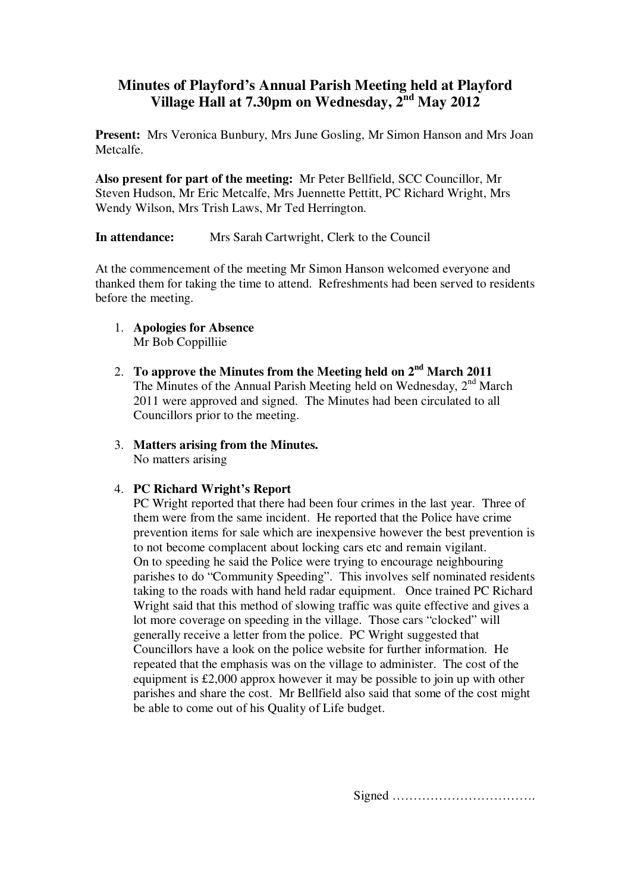# **Minutes of Playford's Annual Parish Meeting held at Playford Village Hall at 7.30pm on Wednesday, 2nd May 2012**

**Present:** Mrs Veronica Bunbury, Mrs June Gosling, Mr Simon Hanson and Mrs Joan Metcalfe.

**Also present for part of the meeting:** Mr Peter Bellfield, SCC Councillor, Mr Steven Hudson, Mr Eric Metcalfe, Mrs Juennette Pettitt, PC Richard Wright, Mrs Wendy Wilson, Mrs Trish Laws, Mr Ted Herrington.

**In attendance:** Mrs Sarah Cartwright, Clerk to the Council

At the commencement of the meeting Mr Simon Hanson welcomed everyone and thanked them for taking the time to attend. Refreshments had been served to residents before the meeting.

- 1. **Apologies for Absence** Mr Bob Coppilliie
- 2. **To approve the Minutes from the Meeting held on 2nd March 2011** The Minutes of the Annual Parish Meeting held on Wednesday,  $2<sup>nd</sup>$  March 2011 were approved and signed. The Minutes had been circulated to all Councillors prior to the meeting.
- 3. **Matters arising from the Minutes.** No matters arising

## 4. **PC Richard Wright's Report**

PC Wright reported that there had been four crimes in the last year. Three of them were from the same incident. He reported that the Police have crime prevention items for sale which are inexpensive however the best prevention is to not become complacent about locking cars etc and remain vigilant. On to speeding he said the Police were trying to encourage neighbouring parishes to do "Community Speeding". This involves self nominated residents taking to the roads with hand held radar equipment. Once trained PC Richard Wright said that this method of slowing traffic was quite effective and gives a lot more coverage on speeding in the village. Those cars "clocked" will generally receive a letter from the police. PC Wright suggested that Councillors have a look on the police website for further information. He repeated that the emphasis was on the village to administer. The cost of the equipment is £2,000 approx however it may be possible to join up with other parishes and share the cost. Mr Bellfield also said that some of the cost might be able to come out of his Quality of Life budget.

Signed …………………………….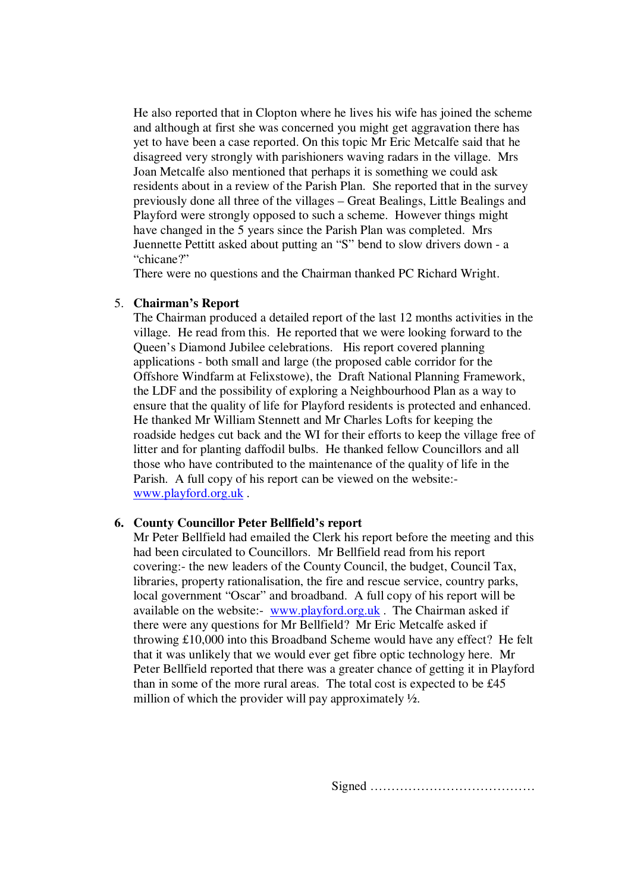He also reported that in Clopton where he lives his wife has joined the scheme and although at first she was concerned you might get aggravation there has yet to have been a case reported. On this topic Mr Eric Metcalfe said that he disagreed very strongly with parishioners waving radars in the village. Mrs Joan Metcalfe also mentioned that perhaps it is something we could ask residents about in a review of the Parish Plan. She reported that in the survey previously done all three of the villages – Great Bealings, Little Bealings and Playford were strongly opposed to such a scheme. However things might have changed in the 5 years since the Parish Plan was completed. Mrs Juennette Pettitt asked about putting an "S" bend to slow drivers down - a "chicane?"

There were no questions and the Chairman thanked PC Richard Wright.

### 5. **Chairman's Report**

The Chairman produced a detailed report of the last 12 months activities in the village. He read from this. He reported that we were looking forward to the Queen's Diamond Jubilee celebrations. His report covered planning applications - both small and large (the proposed cable corridor for the Offshore Windfarm at Felixstowe), the Draft National Planning Framework, the LDF and the possibility of exploring a Neighbourhood Plan as a way to ensure that the quality of life for Playford residents is protected and enhanced. He thanked Mr William Stennett and Mr Charles Lofts for keeping the roadside hedges cut back and the WI for their efforts to keep the village free of litter and for planting daffodil bulbs. He thanked fellow Councillors and all those who have contributed to the maintenance of the quality of life in the Parish. A full copy of his report can be viewed on the website: www.playford.org.uk .

### **6. County Councillor Peter Bellfield's report**

Mr Peter Bellfield had emailed the Clerk his report before the meeting and this had been circulated to Councillors. Mr Bellfield read from his report covering:- the new leaders of the County Council, the budget, Council Tax, libraries, property rationalisation, the fire and rescue service, country parks, local government "Oscar" and broadband. A full copy of his report will be available on the website:- www.playford.org.uk . The Chairman asked if there were any questions for Mr Bellfield? Mr Eric Metcalfe asked if throwing £10,000 into this Broadband Scheme would have any effect? He felt that it was unlikely that we would ever get fibre optic technology here. Mr Peter Bellfield reported that there was a greater chance of getting it in Playford than in some of the more rural areas. The total cost is expected to be £45 million of which the provider will pay approximately ½.

Signed …………………………………